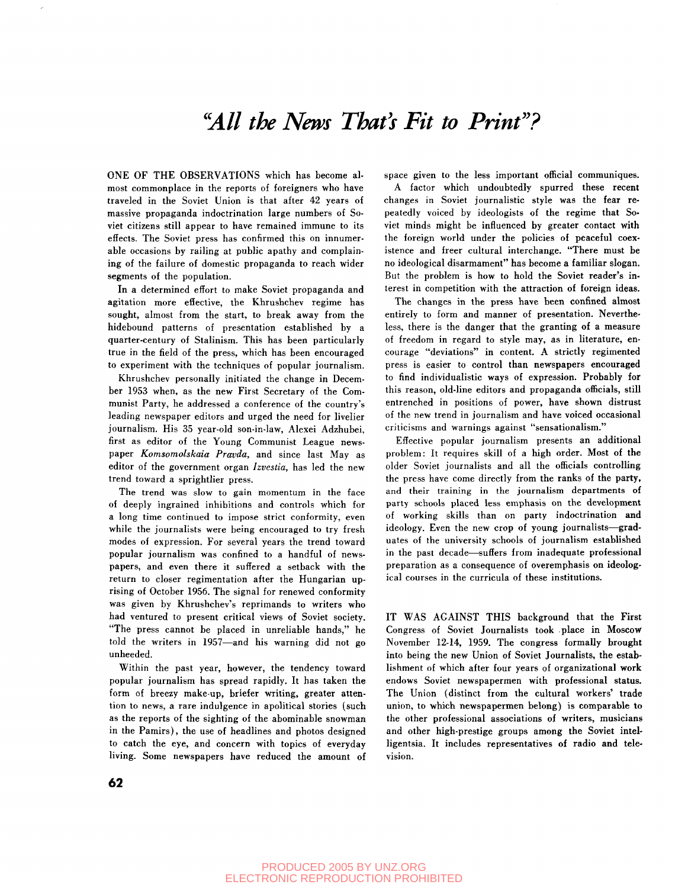## *"All the News That's Fit to Print<sup>3</sup> '?*

ONE OF THE OBSERVATIONS which has become almost commonplace in the reports of foreigners who have traveled in the Soviet Union is that after 42 years of massive propaganda indoctrination large numbers of Soviet citizens still appear to have remained immune to its effects. The Soviet press has confirmed this on innumerable occasions by railing at public apathy and complaining of the failure of domestic propaganda to reach wider segments of the population.

In a determined effort to make Soviet propaganda and agitation more effective, the Khrushchev regime has sought, almost from the start, to break away from the hidebound patterns of presentation established by a quarter-century of Stalinism. This has been particularly true in the field of the press, which has been encouraged to experiment with the techniques of popular journalism.

Khrushchev personally initiated the change in December 1953 when, as the new First Secretary of the Communist Party, he addressed a conference of the country's leading newspaper editors and urged the need for livelier journalism. His 35 year-old son-in-law, Alexei Adzhubei, first as editor of the Young Communist League newspaper *Komsomolskaia Pravda,* and since last May as editor of the government organ *Izvestia,* has led the new trend toward a sprightlier press.

The trend was slow to gain momentum in the face of deeply ingrained inhibitions and controls which for a long time continued to impose strict conformity, even while the journalists were being encouraged to try fresh modes of expression. For several years the trend toward popular journalism was confined to a handful of newspapers, and even there it suffered a setback with the return to closer regimentation after the Hungarian uprising of October 1956. The signal for renewed conformity was given by Khrushchev's reprimands to writers who had ventured to present critical views of Soviet society. "The press cannot be placed in unreliable hands," he told the writers in 1957—and his warning did not go unheeded.

Within the past year, however, the tendency toward popular journalism has spread rapidly. It has taken the form of breezy make-up, briefer writing, greater attention to news, a rare indulgence in apolitical stories (such as the reports of the sighting of the abominable snowman in the Pamirs), the use of headlines and photos designed to catch the eye, and concern with topics of everyday living. Some newspapers have reduced the amount of space given to the less important official communiques.

A factor which undoubtedly spurred these recent changes in Soviet journalistic style was the fear repeatedly voiced by ideologists of the regime that Soviet minds might be influenced by greater contact with the foreign world under the policies of peaceful coexistence and freer cultural interchange. "There must be no ideological disarmament" has become a familiar slogan. But the problem is how to hold the Soviet reader's interest in competition with the attraction of foreign ideas.

The changes in the press have been confined almost entirely to form and manner of presentation. Nevertheless, there is the danger that the granting of a measure of freedom in regard to style may, as in literature, encourage "deviations" in content. A strictly regimented press is easier to control than newspapers encouraged to find individualistic ways of expression. Probably for this reason, old-line editors and propaganda officials, still entrenched in positions of power, have shown distrust of the new trend in journalism and have voiced occasional criticisms and warnings against "sensationalism."

Effective popular journalism presents an additional problem: It requires skill of a high order. Most of the older Soviet journalists and all the officials controlling the press have come directly from the ranks of the party, and their training in the journalism departments of party schools placed less emphasis on the development of working skills than on party indoctrination and ideology. Even the new crop of young journalists—graduates of the university schools of journalism established in the past decade—suffers from inadequate professional preparation as a consequence of overemphasis on ideological courses in the curricula of these institutions.

IT WAS AGAINST THIS background that the First Congress of Soviet Journalists took place in Moscow November 12-14, 1959. The congress formally brought into being the new Union of Soviet Journalists, the establishment of which after four years of organizational work endows Soviet newspapermen with professional status. The Union (distinct from the cultural workers' trade union, to which newspapermen belong) is comparable to the other professional associations of writers, musicians and other high-prestige groups among the Soviet intelligentsia. It includes representatives of radio and television.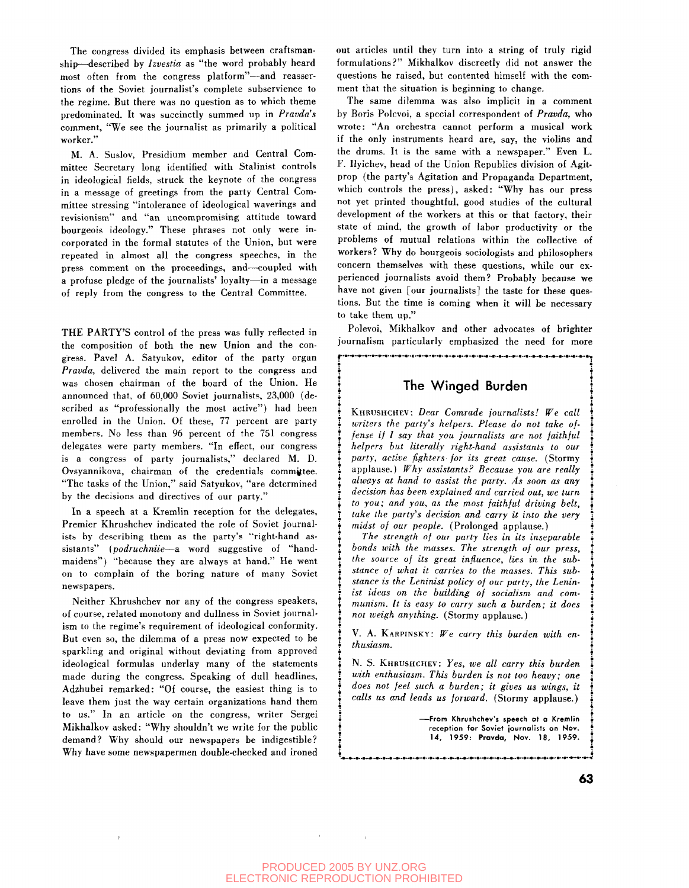The congress divided its emphasis between craftsmanship—described by *Izvestia* as "the word probably heard most often from the congress platform"—and reassertions of the Soviet journalist's complete subservience to the regime. But there was no question as to which theme predominated. It was succinctly summed up in *Pravda's* comment, "We see the journalist as primarily a political worker."

M. A. Suslov, Presidium member and Central Committee Secretary long identified with Stalinist controls in ideological fields, struck the keynote of the congress in a message of greetings from the party Central Committee stressing "intolerance of ideological waverings and revisionism" and "an uncompromising attitude toward bourgeois ideology." These phrases not only were incorporated in the formal statutes of the Union, but were repeated in almost all the congress speeches, in the press comment on the proceedings, and—coupled with a profuse pledge of the journalists' loyalty—in a message of reply from the congress to the Central Committee.

THE PARTY'S control of the press was fully reflected in the composition of both the new Union and the congress. Pavel A. Satyukov, editor of the party organ *Pravda,* delivered the main report to the congress and was chosen chairman of the board of the Union. He announced that, of 60,000 Soviet journalists, 23,000 (described as "professionally the most active") had been enrolled in the Union. Of these, 77 percent are party members. No less than 96 percent of the 751 congress delegates were party members. "In effect, our congress is a congress of party journalists," declared M. D. Ovsyannikova, chairman of the credentials committee. "The tasks of the Union," said Satyukov, "are determined by the decisions and directives of our party."

In a speech at a Kremlin reception for the delegates, Premier Khrushchev indicated the role of Soviet journalists by describing them as the party's "right-hand assistants" *(podruchniie*—a word suggestive of "handmaidens") "because they are always at hand." He went on to complain of the boring nature of many Soviet newspapers.

Neither Khrushchev nor any of the congress speakers, of course, related monotony and dullness in Soviet journalism to the regime's requirement of ideological conformity. But even so, the dilemma of a press now expected to be sparkling and original without deviating from approved ideological formulas underlay many of the statements made during the congress. Speaking of dull headlines, Adzhubei remarked: "Of course, the easiest thing is to leave them just the way certain organizations hand them to us." In an article on the congress, writer Sergei Mikhalkov asked: "Why shouldn't we write for the public demand? Why should our newspapers be indigestible? Why have some newspapermen double-checked and ironed out articles until they turn into a string of truly rigid formulations?" Mikhalkov discreetly did not answer the questions he raised, but contented himself with the comment that the situation is beginning to change.

The same dilemma was also implicit in a comment by Boris Polevoi, a special correspondent of *Pravda,* who wrote: "An orchestra cannot perform a musical work if the only instruments heard are, say, the violins and the drums. It is the same with a newspaper." Even L. F. Ilyichev, head of the Union Republics division of Agitprop (the party's Agitation and Propaganda Department, which controls the press), asked: "Why has our press not yet printed thoughtful, good studies of the cultural development of the workers at this or that factory, their state of mind, the growth of labor productivity or the problems of mutual relations within the collective of workers? Why do bourgeois sociologists and philosophers concern themselves with these questions, while our experienced journalists avoid them? Probably because we have not given [our journalists] the taste for these questions. But the time is coming when it will be necessary to take them up."

Polevoi, Mikhalkov and other advocates of brighter journalism particularly emphasized the need for more

j............................. .

## The Winged Burden

KHRUSHCHEV: *Dear Comrade journalists! We call writers the party's helpers. Please do not take offense if I say that you journalists are not faithful helpers but literally right-hand assistants to our party, active fighters for its great cause.* (Stormy applause.) *Why assistants? Because you are really always at hand to assist the party. As soon as any decision has been explained and carried out, we turn to you; and you, as the most faithful driving belt, take the party's decision and carry it into the very midst of our people.* (Prolonged applause.)

*The strength of our party lies in its inseparable bonds with the masses. The strength of our press, the source of its great influence, lies in the substance of what it carries to the masses. This substance is the Leninist policy of our party, the Leninist ideas on the building of socialism and communism. It is easy to carry such a burden; it does not weigh anything.* (Stormy applause.)

V. A. KARPINSKY: *We carry this burden with enthusiasm.*

N. S. KHRUSHCHEV: *Yes, we all carry this burden with enthusiasm. This burden is not too heavy; one does not feel such a burden; it gives us wings, it calls us and leads us forward.* (Stormy applause.)

> —From Khrushchev's speech ot a Kremlin reception for Soviet journalists on Nov. 14, 1959: **Pravda,** Nov. 18, 1959.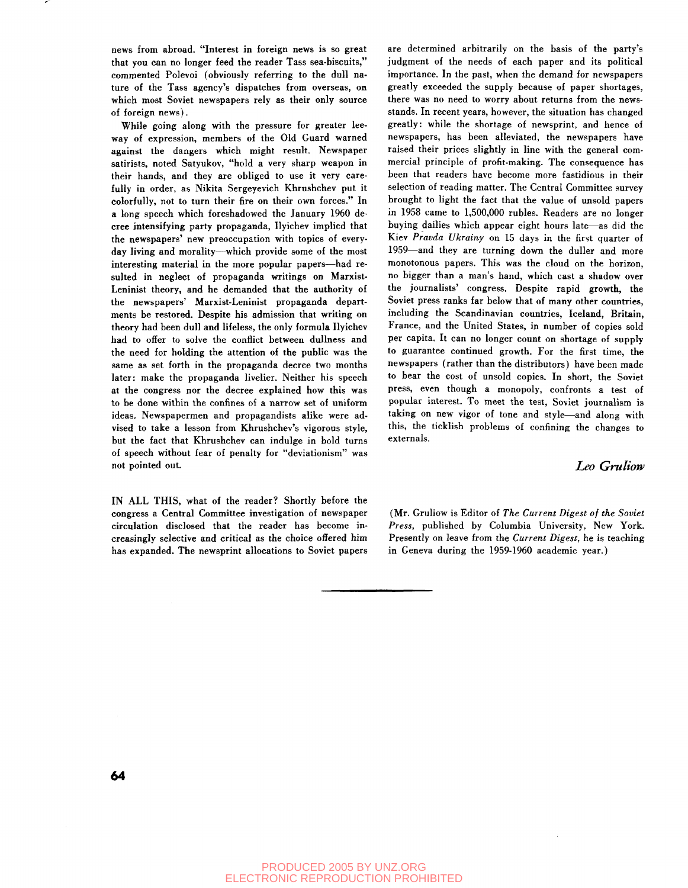news from abroad. "Interest in foreign news is so great that you can no longer feed the reader Tass sea-biscuits," commented Polevoi (obviously referring to the dull nature of the Tass agency's dispatches from overseas, on which most Soviet newspapers rely as their only source of foreign news).

While going along with the pressure for greater leeway of expression, members of the Old Guard warned against the dangers which might result. Newspaper satirists, noted Satyukov, "hold a very sharp weapon in their hands, and they are obliged to use it very carefully in order, as Nikita Sergeyevich Khrushchev put it colorfully, not to turn their fire on their own forces." In a long speech which foreshadowed the January 1960 decree intensifying party propaganda, Ilyichev implied that the newspapers' new preoccupation with topics of everyday living and morality—which provide some of the most interesting material in the more popular papers—had resulted in neglect of propaganda writings on Marxist-Leninist theory, and he demanded that the authority of the newspapers' Marxist-Leninist propaganda departments be restored. Despite his admission that writing on theory had been dull and lifeless, the only formula Ilyichev had to offer to solve the conflict between dullness and the need for holding the attention of the public was the same as set forth in the propaganda decree two months later: make the propaganda livelier. Neither his speech at the congress nor the decree explained how this was to be done within the confines of a narrow set of uniform ideas. Newspapermen and propagandists alike were advised to take a lesson from Khrushchev's vigorous style, but the fact that Khrushchev can indulge in bold turns of speech without fear of penalty for "deviationism" was not pointed out.

IN ALL THIS, what of the reader? Shortly before the congress a Central Committee investigation of newspaper circulation disclosed that the reader has become increasingly selective and critical as the choice offered him has expanded. The newsprint allocations to Soviet papers are determined arbitrarily on the basis of the party's judgment of the needs of each paper and its political importance. In the past, when the demand for newspapers greatly exceeded the supply because of paper shortages, there was no need to worry about returns from the newsstands. In recent years, however, the situation has changed greatly: while the shortage of newsprint, and hence of newspapers, has been alleviated, the newspapers have raised their prices slightly in line with the general commercial principle of profit-making. The consequence has been that readers have become more fastidious in their selection of reading matter. The Central Committee survey brought to light the fact that the value of unsold papers in 1958 came to 1,500,000 rubles. Readers are no longer buying dailies which appear eight hours late—as did the Kiev *Pravda Ukrainy* on 15 days in the first quarter of 1959—and they are turning down the duller and more monotonous papers. This was the cloud on the horizon, no bigger than a man's hand, which cast a shadow over the journalists' congress. Despite rapid growth, the Soviet press ranks far below that of many other countries, including the Scandinavian countries, Iceland, Britain, France, and the United States, in number of copies sold per capita. It can no longer count on shortage of supply to guarantee continued growth. For the first time, the newspapers (rather than the distributors) have been made to bear the cost of unsold copies. In short, the Soviet press, even the cost of ansola copies. In short, the soviet press, even mough a monopoly, confronts a test of popular merest. To meet the test, soviet journalism is  $t_{\text{min}}$  on new vigor of tone and style—and along with this, the ticklish problems of confining the changes to externals.

## *Leo Gruliow*

(Mr. Gruliow is Editor of *The Current Digest of the Soviet Press,* published by Columbia University, New York. Presently on leave from the *Current Digest,* he is teaching in Geneva during the 1959-1960 academic year.)